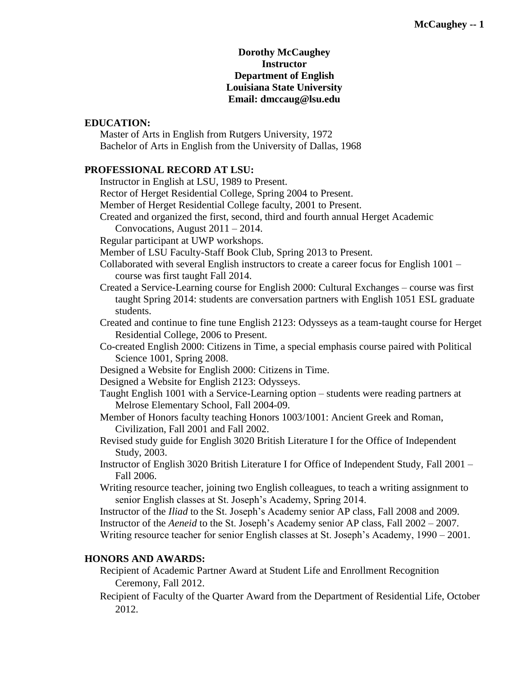### **Dorothy McCaughey Instructor Department of English Louisiana State University Email: dmccaug@lsu.edu**

# **EDUCATION:**

Master of Arts in English from Rutgers University, 1972 Bachelor of Arts in English from the University of Dallas, 1968

# **PROFESSIONAL RECORD AT LSU:**

Instructor in English at LSU, 1989 to Present.

Rector of Herget Residential College, Spring 2004 to Present.

Member of Herget Residential College faculty, 2001 to Present.

Created and organized the first, second, third and fourth annual Herget Academic Convocations, August 2011 – 2014.

Regular participant at UWP workshops.

Member of LSU Faculty-Staff Book Club, Spring 2013 to Present.

Collaborated with several English instructors to create a career focus for English 1001 – course was first taught Fall 2014.

Created a Service-Learning course for English 2000: Cultural Exchanges – course was first taught Spring 2014: students are conversation partners with English 1051 ESL graduate students.

Created and continue to fine tune English 2123: Odysseys as a team-taught course for Herget Residential College, 2006 to Present.

Co-created English 2000: Citizens in Time, a special emphasis course paired with Political Science 1001, Spring 2008.

Designed a Website for English 2000: Citizens in Time.

Designed a Website for English 2123: Odysseys.

Taught English 1001 with a Service-Learning option – students were reading partners at Melrose Elementary School, Fall 2004-09.

Member of Honors faculty teaching Honors 1003/1001: Ancient Greek and Roman, Civilization, Fall 2001 and Fall 2002.

Revised study guide for English 3020 British Literature I for the Office of Independent Study, 2003.

Instructor of English 3020 British Literature I for Office of Independent Study, Fall 2001 – Fall 2006.

Writing resource teacher, joining two English colleagues, to teach a writing assignment to senior English classes at St. Joseph's Academy, Spring 2014.

Instructor of the *Iliad* to the St. Joseph's Academy senior AP class, Fall 2008 and 2009. Instructor of the *Aeneid* to the St. Joseph's Academy senior AP class, Fall 2002 – 2007. Writing resource teacher for senior English classes at St. Joseph's Academy, 1990 – 2001.

# **HONORS AND AWARDS:**

Recipient of Academic Partner Award at Student Life and Enrollment Recognition Ceremony, Fall 2012.

Recipient of Faculty of the Quarter Award from the Department of Residential Life, October 2012.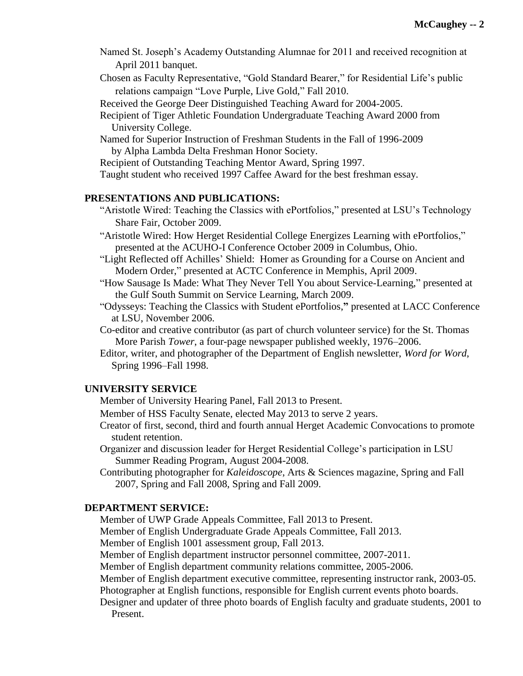- Named St. Joseph's Academy Outstanding Alumnae for 2011 and received recognition at April 2011 banquet.
- Chosen as Faculty Representative, "Gold Standard Bearer," for Residential Life's public relations campaign "Love Purple, Live Gold," Fall 2010.
- Received the George Deer Distinguished Teaching Award for 2004-2005.
- Recipient of Tiger Athletic Foundation Undergraduate Teaching Award 2000 from University College.
- Named for Superior Instruction of Freshman Students in the Fall of 1996-2009 by Alpha Lambda Delta Freshman Honor Society.
- Recipient of Outstanding Teaching Mentor Award, Spring 1997.

Taught student who received 1997 Caffee Award for the best freshman essay.

#### **PRESENTATIONS AND PUBLICATIONS:**

- "Aristotle Wired: Teaching the Classics with ePortfolios," presented at LSU's Technology Share Fair, October 2009.
- "Aristotle Wired: How Herget Residential College Energizes Learning with ePortfolios," presented at the ACUHO-I Conference October 2009 in Columbus, Ohio.
- "Light Reflected off Achilles' Shield: Homer as Grounding for a Course on Ancient and Modern Order," presented at ACTC Conference in Memphis, April 2009.
- "How Sausage Is Made: What They Never Tell You about Service-Learning," presented at the Gulf South Summit on Service Learning, March 2009.
- "Odysseys: Teaching the Classics with Student ePortfolios,**"** presented at LACC Conference at LSU, November 2006.
- Co-editor and creative contributor (as part of church volunteer service) for the St. Thomas More Parish *Tower*, a four-page newspaper published weekly, 1976–2006.
- Editor, writer, and photographer of the Department of English newsletter, *Word for Word*, Spring 1996–Fall 1998.

## **UNIVERSITY SERVICE**

- Member of University Hearing Panel, Fall 2013 to Present.
- Member of HSS Faculty Senate, elected May 2013 to serve 2 years.
- Creator of first, second, third and fourth annual Herget Academic Convocations to promote student retention.
- Organizer and discussion leader for Herget Residential College's participation in LSU Summer Reading Program, August 2004-2008.
- Contributing photographer for *Kaleidoscope*, Arts & Sciences magazine, Spring and Fall 2007, Spring and Fall 2008, Spring and Fall 2009.

# **DEPARTMENT SERVICE:**

- Member of UWP Grade Appeals Committee, Fall 2013 to Present.
- Member of English Undergraduate Grade Appeals Committee, Fall 2013.
- Member of English 1001 assessment group, Fall 2013.
- Member of English department instructor personnel committee, 2007-2011.
- Member of English department community relations committee, 2005-2006.
- Member of English department executive committee, representing instructor rank, 2003-05. Photographer at English functions, responsible for English current events photo boards.
- Designer and updater of three photo boards of English faculty and graduate students, 2001 to Present.